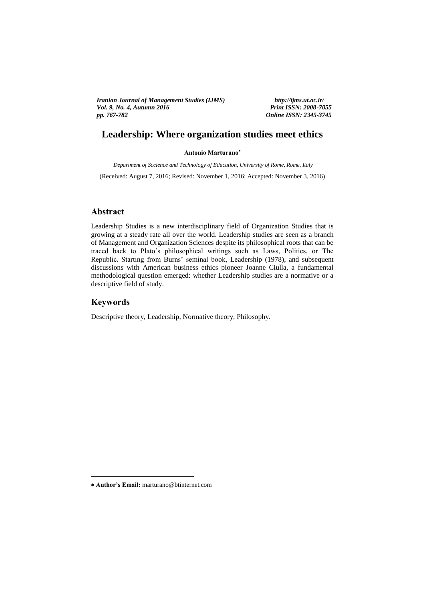*Vol. 9, No. 4, Autumn 2016 Print ISSN: 2008-7055 Print ISSN: 2008-7055 Iranian Journal of Management Studies (IJMS) http://ijms.ut.ac.ir/ pp. 767-782 Online ISSN: 2345-3745*

# **Leadership: Where organization studies meet ethics**

**Antonio Marturano**  Antonio Mai tui ano

*Department of Sccience and Technology of Education, University of Rome, Rome, Italy* (Received: August 7, 2016; Revised: November 1, 2016; Accepted: November 3, 2016)

### **Abstract**

Leadership Studies is a new interdisciplinary field of Organization Studies that is growing at a steady rate all over the world. Leadership studies are seen as a branch of Management and Organization Sciences despite its philosophical roots that can be traced back to Plato's philosophical writings such as Laws, Politics, or The Republic. Starting from Burns' seminal book, Leadership (1978), and subsequent discussions with American business ethics pioneer Joanne Ciulla, a fundamental methodological question emerged: whether Leadership studies are a normative or a descriptive field of study.

### **Keywords**

1

Descriptive theory, Leadership, Normative theory, Philosophy.

**Author's Email:** marturano@btinternet.com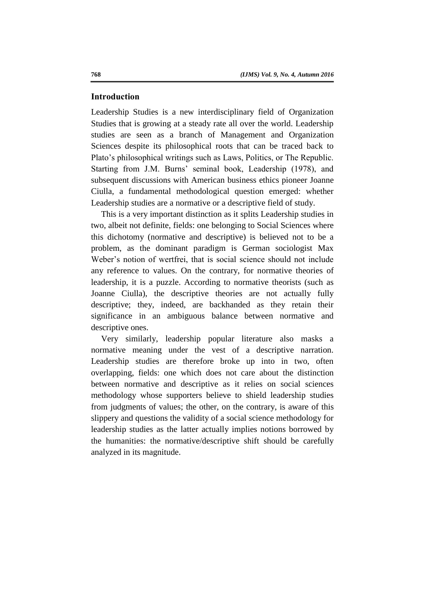### **Introduction**

Leadership Studies is a new interdisciplinary field of Organization Studies that is growing at a steady rate all over the world. Leadership studies are seen as a branch of Management and Organization Sciences despite its philosophical roots that can be traced back to Plato's philosophical writings such as Laws, Politics, or The Republic. Starting from J.M. Burns' seminal book, Leadership (1978), and subsequent discussions with American business ethics pioneer Joanne Ciulla, a fundamental methodological question emerged: whether Leadership studies are a normative or a descriptive field of study.

This is a very important distinction as it splits Leadership studies in two, albeit not definite, fields: one belonging to Social Sciences where this dichotomy (normative and descriptive) is believed not to be a problem, as the dominant paradigm is German sociologist Max Weber's notion of wertfrei, that is social science should not include any reference to values. On the contrary, for normative theories of leadership, it is a puzzle. According to normative theorists (such as Joanne Ciulla), the descriptive theories are not actually fully descriptive; they, indeed, are backhanded as they retain their significance in an ambiguous balance between normative and descriptive ones.

Very similarly, leadership popular literature also masks a normative meaning under the vest of a descriptive narration. Leadership studies are therefore broke up into in two, often overlapping, fields: one which does not care about the distinction between normative and descriptive as it relies on social sciences methodology whose supporters believe to shield leadership studies from judgments of values; the other, on the contrary, is aware of this slippery and questions the validity of a social science methodology for leadership studies as the latter actually implies notions borrowed by the humanities: the normative/descriptive shift should be carefully analyzed in its magnitude.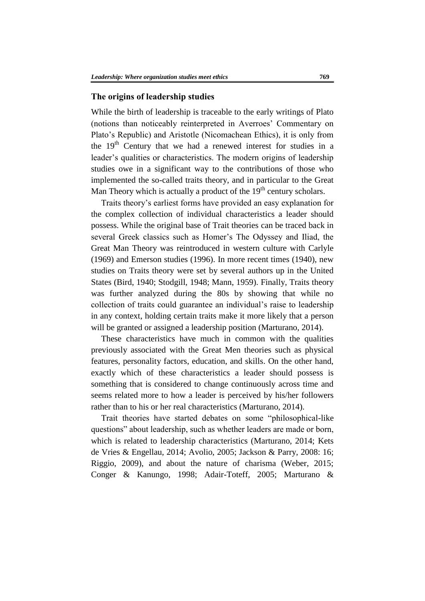#### **The origins of leadership studies**

While the birth of leadership is traceable to the early writings of Plato (notions than noticeably reinterpreted in Averroes' Commentary on Plato's Republic) and Aristotle (Nicomachean Ethics), it is only from the  $19<sup>th</sup>$  Century that we had a renewed interest for studies in a leader's qualities or characteristics. The modern origins of leadership studies owe in a significant way to the contributions of those who implemented the so-called traits theory, and in particular to the Great Man Theory which is actually a product of the  $19<sup>th</sup>$  century scholars.

Traits theory's earliest forms have provided an easy explanation for the complex collection of individual characteristics a leader should possess. While the original base of Trait theories can be traced back in several Greek classics such as Homer's The Odyssey and Iliad, the Great Man Theory was reintroduced in western culture with Carlyle (1969) and Emerson studies (1996). In more recent times (1940), new studies on Traits theory were set by several authors up in the United States (Bird, 1940; Stodgill, 1948; Mann, 1959). Finally, Traits theory was further analyzed during the 80s by showing that while no collection of traits could guarantee an individual's raise to leadership in any context, holding certain traits make it more likely that a person will be granted or assigned a leadership position (Marturano, 2014).

These characteristics have much in common with the qualities previously associated with the Great Men theories such as physical features, personality factors, education, and skills. On the other hand, exactly which of these characteristics a leader should possess is something that is considered to change continuously across time and seems related more to how a leader is perceived by his/her followers rather than to his or her real characteristics (Marturano, 2014).

Trait theories have started debates on some "philosophical-like questions" about leadership, such as whether leaders are made or born, which is related to leadership characteristics (Marturano, 2014; Kets de Vries & Engellau, 2014; Avolio, 2005; Jackson & Parry, 2008: 16; Riggio, 2009), and about the nature of charisma (Weber, 2015; Conger & Kanungo, 1998; Adair-Toteff, 2005; Marturano &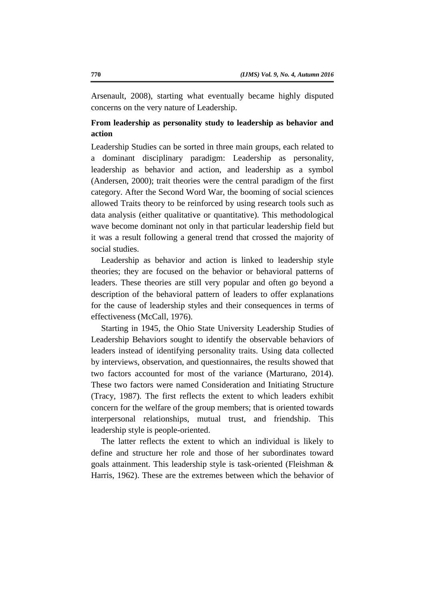Arsenault, 2008), starting what eventually became highly disputed concerns on the very nature of Leadership.

## **From leadership as personality study to leadership as behavior and action**

Leadership Studies can be sorted in three main groups, each related to a dominant disciplinary paradigm: Leadership as personality, leadership as behavior and action, and leadership as a symbol (Andersen, 2000); trait theories were the central paradigm of the first category. After the Second Word War, the booming of social sciences allowed Traits theory to be reinforced by using research tools such as data analysis (either qualitative or quantitative). This methodological wave become dominant not only in that particular leadership field but it was a result following a general trend that crossed the majority of social studies.

Leadership as behavior and action is linked to leadership style theories; they are focused on the behavior or behavioral patterns of leaders. These theories are still very popular and often go beyond a description of the behavioral pattern of leaders to offer explanations for the cause of leadership styles and their consequences in terms of effectiveness (McCall, 1976).

Starting in 1945, the Ohio State University Leadership Studies of Leadership Behaviors sought to identify the observable behaviors of leaders instead of identifying personality traits. Using data collected by interviews, observation, and questionnaires, the results showed that two factors accounted for most of the variance (Marturano, 2014). These two factors were named Consideration and Initiating Structure (Tracy, 1987). The first reflects the extent to which leaders exhibit concern for the welfare of the group members; that is oriented towards interpersonal relationships, mutual trust, and friendship. This leadership style is people-oriented.

The latter reflects the extent to which an individual is likely to define and structure her role and those of her subordinates toward goals attainment. This leadership style is task-oriented (Fleishman & Harris, 1962). These are the extremes between which the behavior of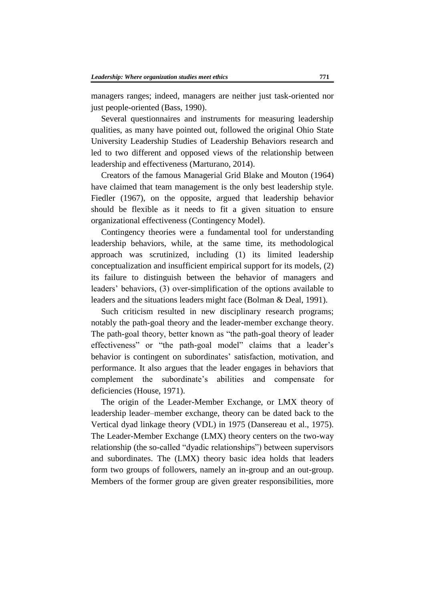managers ranges; indeed, managers are neither just task-oriented nor just people-oriented (Bass, 1990).

Several questionnaires and instruments for measuring leadership qualities, as many have pointed out, followed the original Ohio State University Leadership Studies of Leadership Behaviors research and led to two different and opposed views of the relationship between leadership and effectiveness (Marturano, 2014).

Creators of the famous Managerial Grid Blake and Mouton (1964) have claimed that team management is the only best leadership style. Fiedler (1967), on the opposite, argued that leadership behavior should be flexible as it needs to fit a given situation to ensure organizational effectiveness (Contingency Model).

Contingency theories were a fundamental tool for understanding leadership behaviors, while, at the same time, its methodological approach was scrutinized, including (1) its limited leadership conceptualization and insufficient empirical support for its models, (2) its failure to distinguish between the behavior of managers and leaders' behaviors, (3) over-simplification of the options available to leaders and the situations leaders might face (Bolman & Deal, 1991).

Such criticism resulted in new disciplinary research programs; notably the path-goal theory and the leader-member exchange theory. The path-goal theory, better known as "the path-goal theory of leader effectiveness" or "the path-goal model" claims that a leader's behavior is contingent on subordinates' satisfaction, motivation, and performance. It also argues that the leader engages in behaviors that complement the subordinate's abilities and compensate for deficiencies (House, 1971).

The origin of the Leader-Member Exchange, or LMX theory of leadership leader–member exchange, theory can be dated back to the Vertical dyad linkage theory (VDL) in 1975 (Dansereau et al., 1975). The Leader-Member Exchange (LMX) theory centers on the two-way relationship (the so-called "dyadic relationships") between supervisors and subordinates. The (LMX) theory basic idea holds that leaders form two groups of followers, namely an in-group and an out-group. Members of the former group are given greater responsibilities, more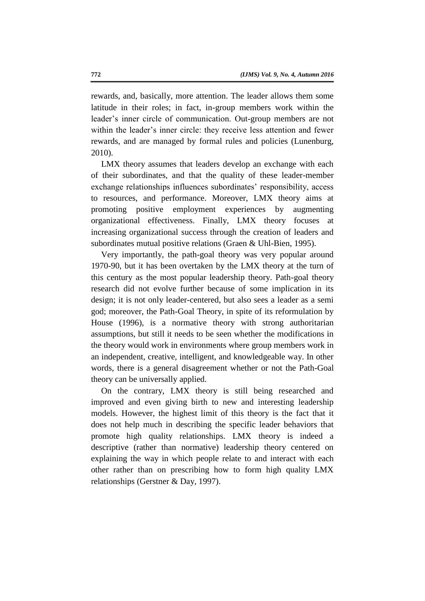rewards, and, basically, more attention. The leader allows them some latitude in their roles; in fact, in-group members work within the leader's inner circle of communication. Out-group members are not within the leader's inner circle: they receive less attention and fewer rewards, and are managed by formal rules and policies (Lunenburg, 2010).

LMX theory assumes that leaders develop an exchange with each of their subordinates, and that the quality of these leader-member exchange relationships influences subordinates' responsibility, access to resources, and performance. Moreover, LMX theory aims at promoting positive employment experiences by augmenting organizational effectiveness. Finally, LMX theory focuses at increasing organizational success through the creation of leaders and subordinates mutual positive relations (Graen & Uhl-Bien, 1995).

Very importantly, the path-goal theory was very popular around 1970-90, but it has been overtaken by the LMX theory at the turn of this century as the most popular leadership theory. Path-goal theory research did not evolve further because of some implication in its design; it is not only leader-centered, but also sees a leader as a semi god; moreover, the Path-Goal Theory, in spite of its reformulation by House (1996), is a normative theory with strong authoritarian assumptions, but still it needs to be seen whether the modifications in the theory would work in environments where group members work in an independent, creative, intelligent, and knowledgeable way. In other words, there is a general disagreement whether or not the Path-Goal theory can be universally applied.

On the contrary, LMX theory is still being researched and improved and even giving birth to new and interesting leadership models. However, the highest limit of this theory is the fact that it does not help much in describing the specific leader behaviors that promote high quality relationships. LMX theory is indeed a descriptive (rather than normative) leadership theory centered on explaining the way in which people relate to and interact with each other rather than on prescribing how to form high quality LMX relationships (Gerstner & Day, 1997).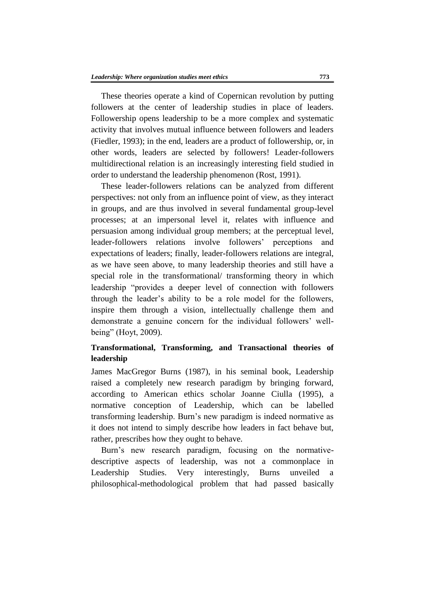These theories operate a kind of Copernican revolution by putting followers at the center of leadership studies in place of leaders. Followership opens leadership to be a more complex and systematic activity that involves mutual influence between followers and leaders (Fiedler, 1993); in the end, leaders are a product of followership, or, in other words, leaders are selected by followers! Leader-followers multidirectional relation is an increasingly interesting field studied in order to understand the leadership phenomenon (Rost, 1991).

These leader-followers relations can be analyzed from different perspectives: not only from an influence point of view, as they interact in groups, and are thus involved in several fundamental group-level processes; at an impersonal level it, relates with influence and persuasion among individual group members; at the perceptual level, leader-followers relations involve followers' perceptions and expectations of leaders; finally, leader-followers relations are integral, as we have seen above, to many leadership theories and still have a special role in the transformational/ transforming theory in which leadership "provides a deeper level of connection with followers through the leader's ability to be a role model for the followers, inspire them through a vision, intellectually challenge them and demonstrate a genuine concern for the individual followers' wellbeing" (Hoyt, 2009).

## **Transformational, Transforming, and Transactional theories of leadership**

James MacGregor Burns (1987), in his seminal book, Leadership raised a completely new research paradigm by bringing forward, according to American ethics scholar Joanne Ciulla (1995), a normative conception of Leadership, which can be labelled transforming leadership. Burn's new paradigm is indeed normative as it does not intend to simply describe how leaders in fact behave but, rather, prescribes how they ought to behave.

Burn's new research paradigm, focusing on the normativedescriptive aspects of leadership, was not a commonplace in Leadership Studies. Very interestingly, Burns unveiled a philosophical-methodological problem that had passed basically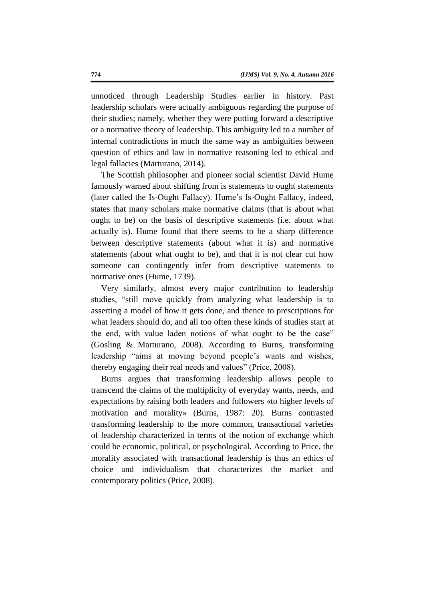unnoticed through Leadership Studies earlier in history. Past leadership scholars were actually ambiguous regarding the purpose of their studies; namely, whether they were putting forward a descriptive or a normative theory of leadership. This ambiguity led to a number of internal contradictions in much the same way as ambiguities between question of ethics and law in normative reasoning led to ethical and legal fallacies (Marturano, 2014).

The Scottish philosopher and pioneer social scientist David Hume famously warned about shifting from is statements to ought statements (later called the Is-Ought Fallacy). Hume's Is-Ought Fallacy, indeed, states that many scholars make normative claims (that is about what ought to be) on the basis of descriptive statements (i.e. about what actually is). Hume found that there seems to be a sharp difference between descriptive statements (about what it is) and normative statements (about what ought to be), and that it is not clear cut how someone can contingently infer from descriptive statements to normative ones (Hume, 1739).

Very similarly, almost every major contribution to leadership studies, "still move quickly from analyzing what leadership is to asserting a model of how it gets done, and thence to prescriptions for what leaders should do, and all too often these kinds of studies start at the end, with value laden notions of what ought to be the case" (Gosling & Marturano, 2008). According to Burns, transforming leadership "aims at moving beyond people's wants and wishes, thereby engaging their real needs and values" (Price, 2008).

Burns argues that transforming leadership allows people to transcend the claims of the multiplicity of everyday wants, needs, and expectations by raising both leaders and followers «to higher levels of motivation and morality» (Burns, 1987: 20). Burns contrasted transforming leadership to the more common, transactional varieties of leadership characterized in terms of the notion of exchange which could be economic, political, or psychological. According to Price, the morality associated with transactional leadership is thus an ethics of choice and individualism that characterizes the market and contemporary politics (Price, 2008).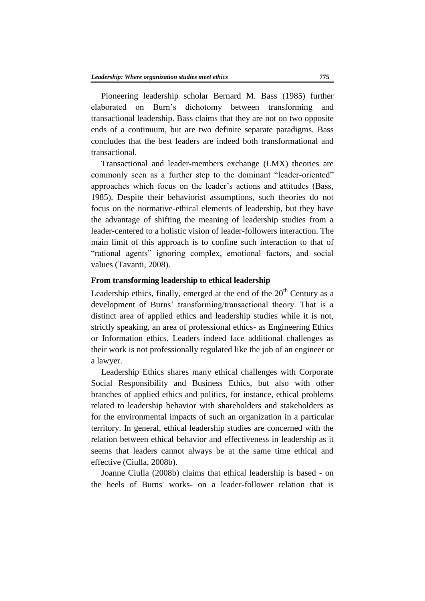Pioneering leadership scholar Bernard M. Bass (1985) further elaborated on Burn's dichotomy between transforming and transactional leadership. Bass claims that they are not on two opposite ends of a continuum, but are two definite separate paradigms. Bass concludes that the best leaders are indeed both transformational and transactional.

Transactional and leader-members exchange (LMX) theories are commonly seen as a further step to the dominant "leader-oriented" approaches which focus on the leader's actions and attitudes (Bass, 1985). Despite their behaviorist assumptions, such theories do not focus on the normative-ethical elements of leadership, but they have the advantage of shifting the meaning of leadership studies from a leader-centered to a holistic vision of leader-followers interaction. The main limit of this approach is to confine such interaction to that of "rational agents" ignoring complex, emotional factors, and social values (Tavanti, 2008).

## **From transforming leadership to ethical leadership**

Leadership ethics, finally, emerged at the end of the  $20<sup>th</sup>$  Century as a development of Burns' transforming/transactional theory. That is a distinct area of applied ethics and leadership studies while it is not, strictly speaking, an area of professional ethics- as Engineering Ethics or Information ethics. Leaders indeed face additional challenges as their work is not professionally regulated like the job of an engineer or a lawyer.

Leadership Ethics shares many ethical challenges with Corporate Social Responsibility and Business Ethics, but also with other branches of applied ethics and politics, for instance, ethical problems related to leadership behavior with shareholders and stakeholders as for the environmental impacts of such an organization in a particular territory. In general, ethical leadership studies are concerned with the relation between ethical behavior and effectiveness in leadership as it seems that leaders cannot always be at the same time ethical and effective (Ciulla, 2008b).

Joanne Ciulla (2008b) claims that ethical leadership is based - on the heels of Burns' works- on a leader-follower relation that is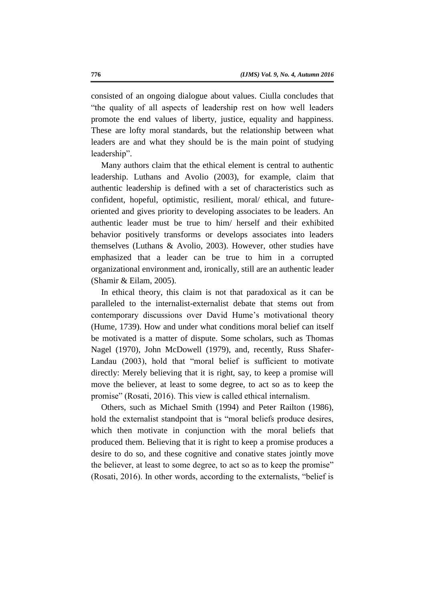consisted of an ongoing dialogue about values. Ciulla concludes that "the quality of all aspects of leadership rest on how well leaders promote the end values of liberty, justice, equality and happiness. These are lofty moral standards, but the relationship between what leaders are and what they should be is the main point of studying leadership".

Many authors claim that the ethical element is central to authentic leadership. Luthans and Avolio (2003), for example, claim that authentic leadership is defined with a set of characteristics such as confident, hopeful, optimistic, resilient, moral/ ethical, and futureoriented and gives priority to developing associates to be leaders. An authentic leader must be true to him/ herself and their exhibited behavior positively transforms or develops associates into leaders themselves (Luthans & Avolio, 2003). However, other studies have emphasized that a leader can be true to him in a corrupted organizational environment and, ironically, still are an authentic leader (Shamir & Eilam, 2005).

In ethical theory, this claim is not that paradoxical as it can be paralleled to the internalist-externalist debate that stems out from contemporary discussions over David Hume's motivational theory (Hume, 1739). How and under what conditions moral belief can itself be motivated is a matter of dispute. Some scholars, such as Thomas Nagel (1970), John McDowell (1979), and, recently, Russ Shafer-Landau (2003), hold that "moral belief is sufficient to motivate directly: Merely believing that it is right, say, to keep a promise will move the believer, at least to some degree, to act so as to keep the promise" (Rosati, 2016). This view is called ethical internalism.

Others, such as Michael Smith (1994) and Peter Railton (1986), hold the externalist standpoint that is "moral beliefs produce desires, which then motivate in conjunction with the moral beliefs that produced them. Believing that it is right to keep a promise produces a desire to do so, and these cognitive and conative states jointly move the believer, at least to some degree, to act so as to keep the promise" (Rosati, 2016). In other words, according to the externalists, "belief is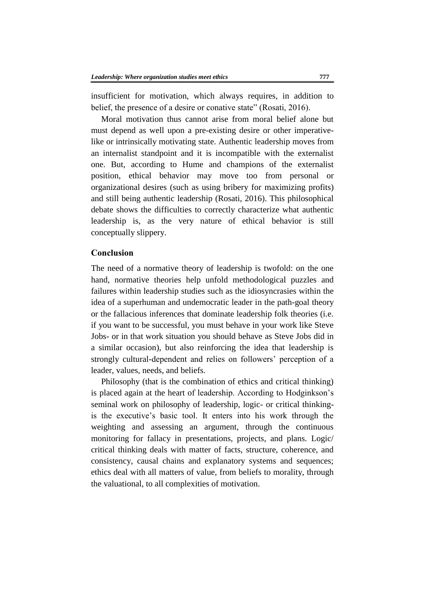insufficient for motivation, which always requires, in addition to belief, the presence of a desire or conative state" (Rosati, 2016).

Moral motivation thus cannot arise from moral belief alone but must depend as well upon a pre-existing desire or other imperativelike or intrinsically motivating state. Authentic leadership moves from an internalist standpoint and it is incompatible with the externalist one. But, according to Hume and champions of the externalist position, ethical behavior may move too from personal or organizational desires (such as using bribery for maximizing profits) and still being authentic leadership (Rosati, 2016). This philosophical debate shows the difficulties to correctly characterize what authentic leadership is, as the very nature of ethical behavior is still conceptually slippery.

## **Conclusion**

The need of a normative theory of leadership is twofold: on the one hand, normative theories help unfold methodological puzzles and failures within leadership studies such as the idiosyncrasies within the idea of a superhuman and undemocratic leader in the path-goal theory or the fallacious inferences that dominate leadership folk theories (i.e. if you want to be successful, you must behave in your work like Steve Jobs- or in that work situation you should behave as Steve Jobs did in a similar occasion), but also reinforcing the idea that leadership is strongly cultural-dependent and relies on followers' perception of a leader, values, needs, and beliefs.

Philosophy (that is the combination of ethics and critical thinking) is placed again at the heart of leadership. According to Hodginkson's seminal work on philosophy of leadership, logic- or critical thinkingis the executive's basic tool. It enters into his work through the weighting and assessing an argument, through the continuous monitoring for fallacy in presentations, projects, and plans. Logic/ critical thinking deals with matter of facts, structure, coherence, and consistency, causal chains and explanatory systems and sequences; ethics deal with all matters of value, from beliefs to morality, through the valuational, to all complexities of motivation.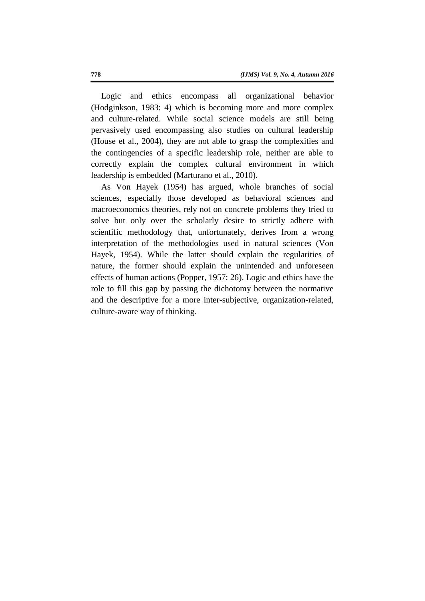Logic and ethics encompass all organizational behavior (Hodginkson, 1983: 4) which is becoming more and more complex and culture-related. While social science models are still being pervasively used encompassing also studies on cultural leadership (House et al., 2004), they are not able to grasp the complexities and the contingencies of a specific leadership role, neither are able to correctly explain the complex cultural environment in which leadership is embedded (Marturano et al., 2010).

As Von Hayek (1954) has argued, whole branches of social sciences, especially those developed as behavioral sciences and macroeconomics theories, rely not on concrete problems they tried to solve but only over the scholarly desire to strictly adhere with scientific methodology that, unfortunately, derives from a wrong interpretation of the methodologies used in natural sciences (Von Hayek, 1954). While the latter should explain the regularities of nature, the former should explain the unintended and unforeseen effects of human actions (Popper, 1957: 26). Logic and ethics have the role to fill this gap by passing the dichotomy between the normative and the descriptive for a more inter-subjective, organization-related, culture-aware way of thinking.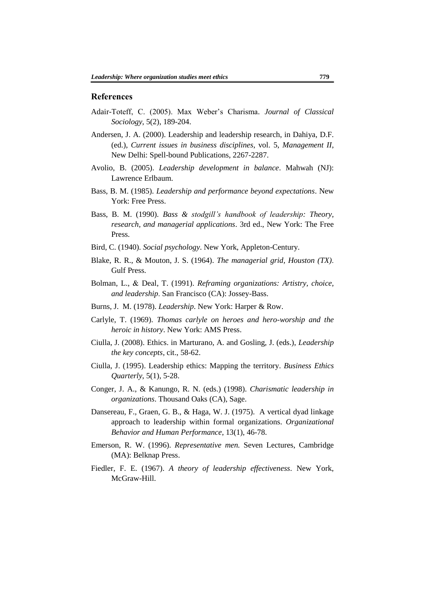#### **References**

- Adair-Toteff, C. (2005). Max Weber's Charisma. *Journal of Classical Sociology*, 5(2), 189-204.
- Andersen, J. A. (2000). Leadership and leadership research, in Dahiya, D.F. (ed.), *Current issues in business disciplines*, vol. 5, *Management II*, New Delhi: Spell-bound Publications, 2267-2287.
- Avolio, B. (2005). *Leadership development in balance*. Mahwah (NJ): Lawrence Erlbaum.
- Bass, B. M. (1985). *Leadership and performance beyond expectations*. New York: Free Press.
- Bass, B. M. (1990). *Bass & stodgill's handbook of leadership: Theory, research, and managerial applications*. 3rd ed., New York: The Free Press.
- Bird, C. (1940). *Social psychology*. New York, Appleton-Century.
- Blake, R. R., & Mouton, J. S. (1964). *The managerial grid, Houston (TX)*. Gulf Press.
- Bolman, L., & Deal, T. (1991). *Reframing organizations: Artistry, choice, and leadership*. San Francisco (CA): Jossey-Bass.
- Burns, J. M. (1978). *Leadership*. New York: Harper & Row.
- Carlyle, T. (1969). *Thomas carlyle on heroes and hero-worship and the heroic in history*. New York: AMS Press.
- Ciulla, J. (2008). Ethics. in Marturano, A. and Gosling, J. (eds.), *Leadership the key concepts*, cit., 58-62.
- Ciulla, J. (1995). Leadership ethics: Mapping the territory. *Business Ethics Quarterly*, 5(1), 5-28.
- Conger, J. A., & Kanungo, R. N. (eds.) (1998). *Charismatic leadership in organizations*. Thousand Oaks (CA), Sage.
- Dansereau, F., Graen, G. B., & Haga, W. J. (1975). A vertical dyad linkage approach to leadership within formal organizations. *Organizational Behavior and Human Performance*, 13(1), 46-78.
- Emerson, R. W. (1996). *Representative men.* Seven Lectures, Cambridge (MA): Belknap Press.
- Fiedler, F. E. (1967). *A theory of leadership effectiveness*. New York, McGraw-Hill.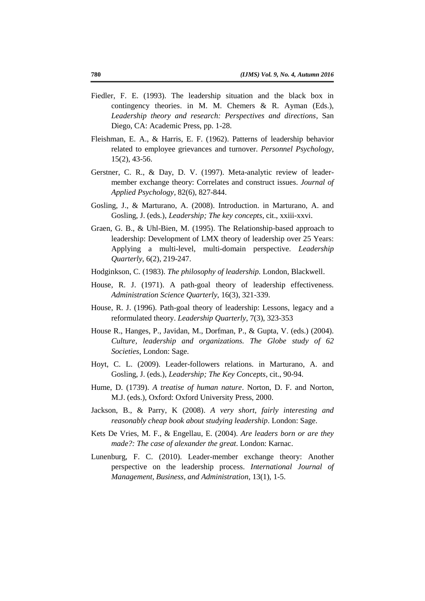- Fiedler, F. E. (1993). The leadership situation and the black box in contingency theories. in M. M. Chemers & R. Ayman (Eds.), *Leadership theory and research: Perspectives and directions*, San Diego, CA: Academic Press, pp. 1-28.
- Fleishman, E. A., & Harris, E. F. (1962). Patterns of leadership behavior related to employee grievances and turnover. *Personnel Psychology*, 15(2), 43-56.
- Gerstner, C. R., & Day, D. V. (1997). Meta-analytic review of leadermember exchange theory: Correlates and construct issues. *Journal of Applied Psychology*, 82(6), 827-844.
- Gosling, J., & Marturano, A. (2008). Introduction. in Marturano, A. and Gosling, J. (eds.), *Leadership; The key concepts*, cit., xxiii-xxvi.
- Graen, G. B., & Uhl-Bien, M. (1995). The Relationship-based approach to leadership: Development of LMX theory of leadership over 25 Years: Applying a multi-level, multi-domain perspective. *Leadership Quarterly*, 6(2), 219-247.
- Hodginkson, C. (1983). *The philosophy of leadership.* London, Blackwell.
- House, R. J. (1971). A path-goal theory of leadership effectiveness. *Administration Science Quarterly*, 16(3), 321-339.
- House, R. J. (1996). Path-goal theory of leadership: Lessons, legacy and a reformulated theory. *Leadership Quarterly*, 7(3), 323-353
- House R., Hanges, P., Javidan, M., Dorfman, P., & Gupta, V. (eds.) (2004). *Culture, leadership and organizations. The Globe study of 62 Societies*, London: Sage.
- Hoyt, C. L. (2009). Leader-followers relations. in Marturano, A. and Gosling, J. (eds.), *Leadership; The Key Concepts*, cit., 90-94.
- Hume, D. (1739). *A treatise of human nature*. Norton, D. F. and Norton, M.J. (eds.), Oxford: Oxford University Press, 2000.
- Jackson, B., & Parry, K (2008). *A very short, fairly interesting and reasonably cheap book about studying leadership*. London: Sage.
- Kets De Vries, M. F., & Engellau, E. (2004). *Are leaders born or are they made?: The case of alexander the great*. London: Karnac.
- Lunenburg, F. C. (2010). Leader-member exchange theory: Another perspective on the leadership process. *International Journal of Management, Business, and Administration*, 13(1), 1-5.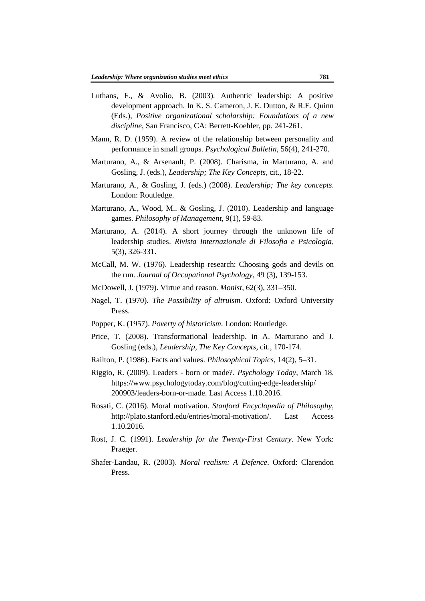- Luthans, F., & Avolio, B. (2003). Authentic leadership: A positive development approach. In K. S. Cameron, J. E. Dutton, & R.E. Quinn (Eds.), *Positive organizational scholarship: Foundations of a new discipline*, San Francisco, CA: Berrett-Koehler, pp. 241-261.
- Mann, R. D. (1959). A review of the relationship between personality and performance in small groups. *Psychological Bulletin*, 56(4), 241-270.
- Marturano, A., & Arsenault, P. (2008). Charisma, in Marturano, A. and Gosling, J. (eds.), *Leadership; The Key Concepts*, cit., 18-22.
- Marturano, A., & Gosling, J. (eds.) (2008). *Leadership; The key concepts*. London: Routledge.
- Marturano, A., Wood, M.. & Gosling, J. (2010). Leadership and language games. *Philosophy of Management*, 9(1), 59-83.
- Marturano, A. (2014). A short journey through the unknown life of leadership studies. *Rivista Internazionale di Filosofia e Psicologia*, 5(3), 326-331.
- McCall, M. W. (1976). Leadership research: Choosing gods and devils on the run. *Journal of Occupational Psychology*, 49 (3), 139-153.
- McDowell, J. (1979). Virtue and reason. *Monist*, 62(3), 331–350.
- Nagel, T. (1970). *The Possibility of altruism*. Oxford: Oxford University Press.
- Popper, K. (1957). *Poverty of historicism*. London: Routledge.
- Price, T. (2008). Transformational leadership. in A. Marturano and J. Gosling (eds.), *Leadership, The Key Concepts*, cit., 170-174.
- Railton, P. (1986). Facts and values. *Philosophical Topics*, 14(2), 5–31.
- Riggio, R. (2009). Leaders born or made?. *Psychology Today*, March 18. https://www.psychologytoday.com/blog/cutting-edge-leadership/ 200903/leaders-born-or-made. Last Access 1.10.2016.
- Rosati, C. (2016). Moral motivation. *Stanford Encyclopedia of Philosophy*, http://plato.stanford.edu/entries/moral-motivation/. Last Access 1.10.2016.
- Rost, J. C. (1991). *Leadership for the Twenty-First Century*. New York: Praeger.
- Shafer-Landau, R. (2003). *Moral realism: A Defence*. Oxford: Clarendon Press.